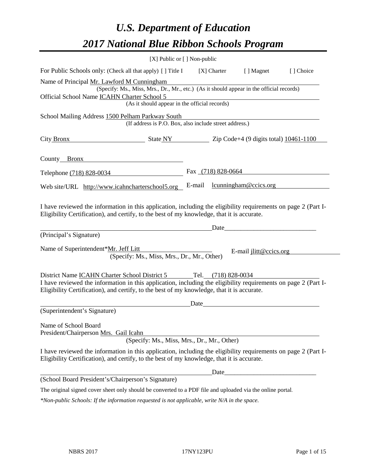# *U.S. Department of Education 2017 National Blue Ribbon Schools Program*

|                                                                                                                                                                                                                                                                                          | [X] Public or [] Non-public |        |                    |                               |           |
|------------------------------------------------------------------------------------------------------------------------------------------------------------------------------------------------------------------------------------------------------------------------------------------|-----------------------------|--------|--------------------|-------------------------------|-----------|
| For Public Schools only: (Check all that apply) [] Title I                                                                                                                                                                                                                               |                             |        | [X] Charter        | [ ] Magnet                    | [] Choice |
| Name of Principal Mr. Lawford M Cunningham<br>(Specify: Ms., Miss, Mrs., Dr., Mr., etc.) (As it should appear in the official records)<br>Official School Name ICAHN Charter School 5<br>(As it should appear in the official records)                                                   |                             |        |                    |                               |           |
|                                                                                                                                                                                                                                                                                          |                             |        |                    |                               |           |
| School Mailing Address 1500 Pelham Parkway South<br>(If address is P.O. Box, also include street address.)                                                                                                                                                                               |                             |        |                    |                               |           |
| City Bronx<br>$\frac{10461-1100}{200000}$ State NY $\frac{10461-1100}{20000000}$                                                                                                                                                                                                         |                             |        |                    |                               |           |
| County Bronx                                                                                                                                                                                                                                                                             |                             |        |                    |                               |           |
| Telephone (718) 828-0034                                                                                                                                                                                                                                                                 |                             |        | Fax (718) 828-0664 |                               |           |
| Web site/URL http://www.icahncharterschool5.org                                                                                                                                                                                                                                          |                             | E-mail |                    | lcunningham@ccics.org         |           |
| I have reviewed the information in this application, including the eligibility requirements on page 2 (Part I-<br>Eligibility Certification), and certify, to the best of my knowledge, that it is accurate.<br>(Principal's Signature)                                                  |                             |        | Date               |                               |           |
| Name of Superintendent*Mr. Jeff Litt<br>(Specify: Ms., Miss, Mrs., Dr., Mr., Other)                                                                                                                                                                                                      |                             |        |                    | E-mail <i>jlitt@ccics.org</i> |           |
| District Name <b>ICAHN</b> Charter School District 5 Tel. (718) 828-0034<br>I have reviewed the information in this application, including the eligibility requirements on page 2 (Part I-<br>Eligibility Certification), and certify, to the best of my knowledge, that it is accurate. |                             |        |                    |                               |           |
| (Superintendent's Signature)                                                                                                                                                                                                                                                             |                             | Date   |                    |                               |           |
| Name of School Board<br>President/Chairperson Mrs. Gail Icahn<br>(Specify: Ms., Miss, Mrs., Dr., Mr., Other)                                                                                                                                                                             |                             |        |                    |                               |           |
| I have reviewed the information in this application, including the eligibility requirements on page 2 (Part I-<br>Eligibility Certification), and certify, to the best of my knowledge, that it is accurate.                                                                             |                             |        |                    |                               |           |
|                                                                                                                                                                                                                                                                                          |                             |        | Date               |                               |           |
| (School Board President's/Chairperson's Signature)                                                                                                                                                                                                                                       |                             |        |                    |                               |           |
| The original signed cover sheet only should be converted to a PDF file and uploaded via the online portal.                                                                                                                                                                               |                             |        |                    |                               |           |

*\*Non-public Schools: If the information requested is not applicable, write N/A in the space.*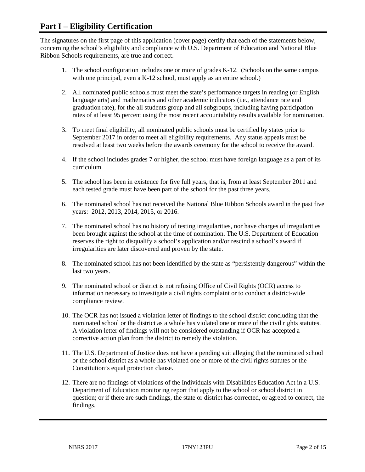### **Part I – Eligibility Certification**

The signatures on the first page of this application (cover page) certify that each of the statements below, concerning the school's eligibility and compliance with U.S. Department of Education and National Blue Ribbon Schools requirements, are true and correct.

- 1. The school configuration includes one or more of grades K-12. (Schools on the same campus with one principal, even a K-12 school, must apply as an entire school.)
- 2. All nominated public schools must meet the state's performance targets in reading (or English language arts) and mathematics and other academic indicators (i.e., attendance rate and graduation rate), for the all students group and all subgroups, including having participation rates of at least 95 percent using the most recent accountability results available for nomination.
- 3. To meet final eligibility, all nominated public schools must be certified by states prior to September 2017 in order to meet all eligibility requirements. Any status appeals must be resolved at least two weeks before the awards ceremony for the school to receive the award.
- 4. If the school includes grades 7 or higher, the school must have foreign language as a part of its curriculum.
- 5. The school has been in existence for five full years, that is, from at least September 2011 and each tested grade must have been part of the school for the past three years.
- 6. The nominated school has not received the National Blue Ribbon Schools award in the past five years: 2012, 2013, 2014, 2015, or 2016.
- 7. The nominated school has no history of testing irregularities, nor have charges of irregularities been brought against the school at the time of nomination. The U.S. Department of Education reserves the right to disqualify a school's application and/or rescind a school's award if irregularities are later discovered and proven by the state.
- 8. The nominated school has not been identified by the state as "persistently dangerous" within the last two years.
- 9. The nominated school or district is not refusing Office of Civil Rights (OCR) access to information necessary to investigate a civil rights complaint or to conduct a district-wide compliance review.
- 10. The OCR has not issued a violation letter of findings to the school district concluding that the nominated school or the district as a whole has violated one or more of the civil rights statutes. A violation letter of findings will not be considered outstanding if OCR has accepted a corrective action plan from the district to remedy the violation.
- 11. The U.S. Department of Justice does not have a pending suit alleging that the nominated school or the school district as a whole has violated one or more of the civil rights statutes or the Constitution's equal protection clause.
- 12. There are no findings of violations of the Individuals with Disabilities Education Act in a U.S. Department of Education monitoring report that apply to the school or school district in question; or if there are such findings, the state or district has corrected, or agreed to correct, the findings.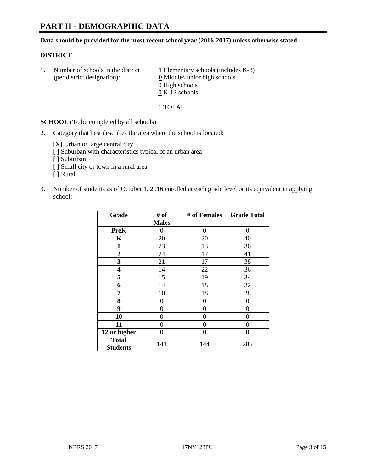## **PART II - DEMOGRAPHIC DATA**

**Data should be provided for the most recent school year (2016-2017) unless otherwise stated.** 

#### **DISTRICT**

1. Number of schools in the district  $1$  Elementary schools (includes K-8) (per district designation):  $\underline{0}$  Middle/Junior high schools 0 High schools 0 K-12 schools

1 TOTAL

**SCHOOL** (To be completed by all schools)

2. Category that best describes the area where the school is located:

[X] Urban or large central city

- [ ] Suburban with characteristics typical of an urban area
- [ ] Suburban
- [ ] Small city or town in a rural area
- [ ] Rural
- 3. Number of students as of October 1, 2016 enrolled at each grade level or its equivalent in applying school:

| Grade                           | # of         | # of Females | <b>Grade Total</b> |
|---------------------------------|--------------|--------------|--------------------|
|                                 | <b>Males</b> |              |                    |
| <b>PreK</b>                     | 0            | $\Omega$     | 0                  |
| K                               | 20           | 20           | 40                 |
| 1                               | 23           | 13           | 36                 |
| $\overline{2}$                  | 24           | 17           | 41                 |
| 3                               | 21           | 17           | 38                 |
| 4                               | 14           | 22           | 36                 |
| 5                               | 15           | 19           | 34                 |
| 6                               | 14           | 18           | 32                 |
| 7                               | 10           | 18           | 28                 |
| 8                               | 0            | 0            | 0                  |
| 9                               | 0            | 0            | 0                  |
| 10                              | 0            | 0            | 0                  |
| 11                              | 0            | 0            | 0                  |
| 12 or higher                    | 0            | 0            | 0                  |
| <b>Total</b><br><b>Students</b> | 141          | 144          | 285                |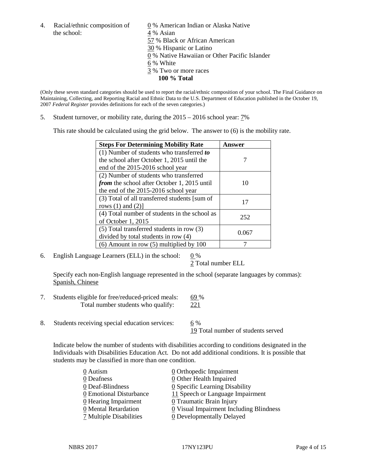the school:  $4\%$  Asian

4. Racial/ethnic composition of  $\qquad 0 \%$  American Indian or Alaska Native 57 % Black or African American 30 % Hispanic or Latino 0 % Native Hawaiian or Other Pacific Islander 6 % White 3 % Two or more races **100 % Total**

(Only these seven standard categories should be used to report the racial/ethnic composition of your school. The Final Guidance on Maintaining, Collecting, and Reporting Racial and Ethnic Data to the U.S. Department of Education published in the October 19, 2007 *Federal Register* provides definitions for each of the seven categories.)

5. Student turnover, or mobility rate, during the 2015 – 2016 school year: 7%

This rate should be calculated using the grid below. The answer to (6) is the mobility rate.

| <b>Steps For Determining Mobility Rate</b>    | Answer |  |
|-----------------------------------------------|--------|--|
| (1) Number of students who transferred to     |        |  |
| the school after October 1, 2015 until the    |        |  |
| end of the 2015-2016 school year              |        |  |
| (2) Number of students who transferred        |        |  |
| from the school after October 1, 2015 until   | 10     |  |
| the end of the 2015-2016 school year          |        |  |
| (3) Total of all transferred students [sum of | 17     |  |
| rows $(1)$ and $(2)$ ]                        |        |  |
| (4) Total number of students in the school as | 252    |  |
| of October 1, 2015                            |        |  |
| (5) Total transferred students in row (3)     |        |  |
| divided by total students in row (4)          | 0.067  |  |
| $(6)$ Amount in row $(5)$ multiplied by 100   |        |  |

6. English Language Learners (ELL) in the school:  $0\%$ 

2 Total number ELL

Specify each non-English language represented in the school (separate languages by commas): Spanish, Chinese

- 7. Students eligible for free/reduced-priced meals: 69 % Total number students who qualify: 221
- 8. Students receiving special education services: 6 %

19 Total number of students served

Indicate below the number of students with disabilities according to conditions designated in the Individuals with Disabilities Education Act. Do not add additional conditions. It is possible that students may be classified in more than one condition.

| 0 Autism                | $\underline{0}$ Orthopedic Impairment   |
|-------------------------|-----------------------------------------|
| 0 Deafness              | <b>0</b> Other Health Impaired          |
| 0 Deaf-Blindness        | 0 Specific Learning Disability          |
| 0 Emotional Disturbance | 11 Speech or Language Impairment        |
| 0 Hearing Impairment    | 0 Traumatic Brain Injury                |
| 0 Mental Retardation    | 0 Visual Impairment Including Blindness |
| 7 Multiple Disabilities | <b>0</b> Developmentally Delayed        |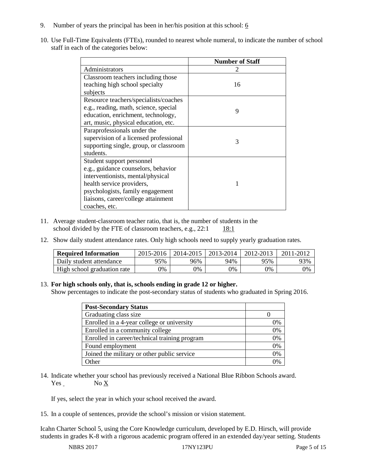- 9. Number of years the principal has been in her/his position at this school:  $6$
- 10. Use Full-Time Equivalents (FTEs), rounded to nearest whole numeral, to indicate the number of school staff in each of the categories below:

|                                        | <b>Number of Staff</b> |
|----------------------------------------|------------------------|
| Administrators                         |                        |
| Classroom teachers including those     |                        |
| teaching high school specialty         | 16                     |
| subjects                               |                        |
| Resource teachers/specialists/coaches  |                        |
| e.g., reading, math, science, special  | 9                      |
| education, enrichment, technology,     |                        |
| art, music, physical education, etc.   |                        |
| Paraprofessionals under the            |                        |
| supervision of a licensed professional | 3                      |
| supporting single, group, or classroom |                        |
| students.                              |                        |
| Student support personnel              |                        |
| e.g., guidance counselors, behavior    |                        |
| interventionists, mental/physical      |                        |
| health service providers,              |                        |
| psychologists, family engagement       |                        |
| liaisons, career/college attainment    |                        |
| coaches, etc.                          |                        |

- 11. Average student-classroom teacher ratio, that is, the number of students in the school divided by the FTE of classroom teachers, e.g.,  $22:1$  18:1
- 12. Show daily student attendance rates. Only high schools need to supply yearly graduation rates.

| <b>Required Information</b> | 2015-2016 | 2014-2015 | 2013-2014 | 2012-2013 |     |
|-----------------------------|-----------|-----------|-----------|-----------|-----|
| Daily student attendance    | 95%       | 96%       | 94%       | 95%       | 93% |
| High school graduation rate | 0%        | 0%        | 0%        | 9%        | 0%  |

#### 13. **For high schools only, that is, schools ending in grade 12 or higher.**

Show percentages to indicate the post-secondary status of students who graduated in Spring 2016.

| <b>Post-Secondary Status</b>                  |    |
|-----------------------------------------------|----|
| Graduating class size                         |    |
| Enrolled in a 4-year college or university    | 0% |
| Enrolled in a community college               | 0% |
| Enrolled in career/technical training program | 0% |
| Found employment                              | 0% |
| Joined the military or other public service   | 0% |
| .)ther                                        |    |

14. Indicate whether your school has previously received a National Blue Ribbon Schools award. Yes No X

If yes, select the year in which your school received the award.

15. In a couple of sentences, provide the school's mission or vision statement.

Icahn Charter School 5, using the Core Knowledge curriculum, developed by E.D. Hirsch, will provide students in grades K-8 with a rigorous academic program offered in an extended day/year setting. Students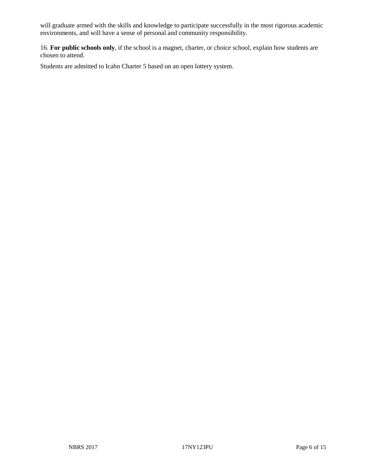will graduate armed with the skills and knowledge to participate successfully in the most rigorous academic environments, and will have a sense of personal and community responsibility.

16. **For public schools only**, if the school is a magnet, charter, or choice school, explain how students are chosen to attend.

Students are admitted to Icahn Charter 5 based on an open lottery system.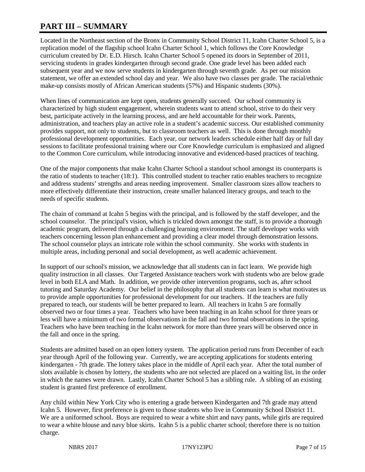# **PART III – SUMMARY**

Located in the Northeast section of the Bronx in Community School District 11, Icahn Charter School 5, is a replication model of the flagship school Icahn Charter School 1, which follows the Core Knowledge curriculum created by Dr. E.D. Hirsch. Icahn Charter School 5 opened its doors in September of 2011, servicing students in grades kindergarten through second grade. One grade level has been added each subsequent year and we now serve students in kindergarten through seventh grade. As per our mission statement, we offer an extended school day and year. We also have two classes per grade. The racial/ethnic make-up consists mostly of African American students (57%) and Hispanic students (30%).

When lines of communication are kept open, students generally succeed. Our school community is characterized by high student engagement, wherein students want to attend school, strive to do their very best, participate actively in the learning process, and are held accountable for their work. Parents, administration, and teachers play an active role in a student's academic success. Our established community provides support, not only to students, but to classroom teachers as well. This is done through monthly professional development opportunities. Each year, our network leaders schedule either half day or full day sessions to facilitate professional training where our Core Knowledge curriculum is emphasized and aligned to the Common Core curriculum, while introducing innovative and evidenced-based practices of teaching.

One of the major components that make Icahn Charter School a standout school amongst its counterparts is the ratio of students to teacher (18:1). This controlled student to teacher ratio enables teachers to recognize and address students' strengths and areas needing improvement. Smaller classroom sizes allow teachers to more effectively differentiate their instruction, create smaller balanced literacy groups, and teach to the needs of specific students.

The chain of command at Icahn 5 begins with the principal, and is followed by the staff developer, and the school counselor. The principal's vision, which is trickled down amongst the staff, is to provide a thorough academic program, delivered through a challenging learning environment. The staff developer works with teachers concerning lesson plan enhancement and providing a clear model through demonstration lessons. The school counselor plays an intricate role within the school community. She works with students in multiple areas, including personal and social development, as well academic achievement.

In support of our school's mission, we acknowledge that all students can in fact learn. We provide high quality instruction in all classes. Our Targeted Assistance teachers work with students who are below grade level in both ELA and Math. In addition, we provide other intervention programs, such as, after school tutoring and Saturday Academy. Our belief in the philosophy that all students can learn is what motivates us to provide ample opportunities for professional development for our teachers. If the teachers are fully prepared to teach, our students will be better prepared to learn. All teachers in Icahn 5 are formally observed two or four times a year. Teachers who have been teaching in an Icahn school for three years or less will have a minimum of two formal observations in the fall and two formal observations in the spring. Teachers who have been teaching in the Icahn network for more than three years will be observed once in the fall and once in the spring.

Students are admitted based on an open lottery system. The application period runs from December of each year through April of the following year. Currently, we are accepting applications for students entering kindergarten - 7th grade. The lottery takes place in the middle of April each year. After the total number of slots available is chosen by lottery, the students who are not selected are placed on a waiting list, in the order in which the names were drawn. Lastly, Icahn Charter School 5 has a sibling rule. A sibling of an existing student is granted first preference of enrollment.

Any child within New York City who is entering a grade between Kindergarten and 7th grade may attend Icahn 5. However, first preference is given to those students who live in Community School District 11. We are a uniformed school. Boys are required to wear a white shirt and navy pants, while girls are required to wear a white blouse and navy blue skirts. Icahn 5 is a public charter school; therefore there is no tuition charge.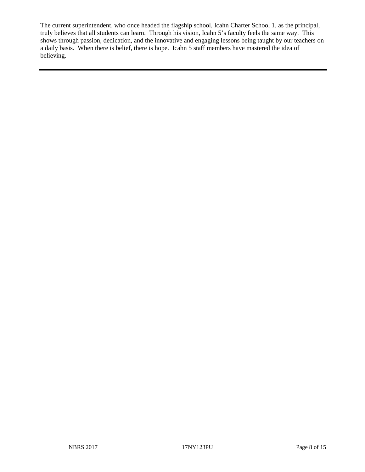The current superintendent, who once headed the flagship school, Icahn Charter School 1, as the principal, truly believes that all students can learn. Through his vision, Icahn 5's faculty feels the same way. This shows through passion, dedication, and the innovative and engaging lessons being taught by our teachers on a daily basis. When there is belief, there is hope. Icahn 5 staff members have mastered the idea of believing.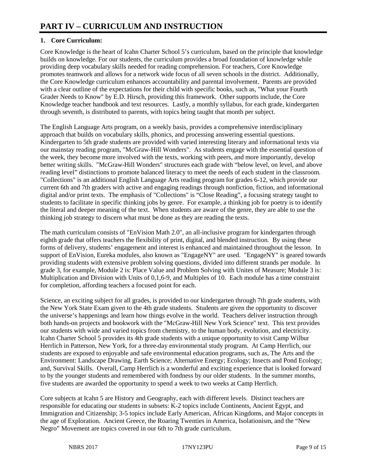### **1. Core Curriculum:**

Core Knowledge is the heart of Icahn Charter School 5's curriculum, based on the principle that knowledge builds on knowledge. For our students, the curriculum provides a broad foundation of knowledge while providing deep vocabulary skills needed for reading comprehension. For teachers, Core Knowledge promotes teamwork and allows for a network wide focus of all seven schools in the district. Additionally, the Core Knowledge curriculum enhances accountability and parental involvement. Parents are provided with a clear outline of the expectations for their child with specific books, such as, "What your Fourth Grader Needs to Know" by E.D. Hirsch, providing this framework. Other supports include, the Core Knowledge teacher handbook and text resources. Lastly, a monthly syllabus, for each grade, kindergarten through seventh, is distributed to parents, with topics being taught that month per subject.

The English Language Arts program, on a weekly basis, provides a comprehensive interdisciplinary approach that builds on vocabulary skills, phonics, and processing answering essential questions. Kindergarten to 5th grade students are provided with varied interesting literary and informational texts via our mainstay reading program, "McGraw-Hill Wonders". As students engage with the essential question of the week, they become more involved with the texts, working with peers, and more importantly, develop better writing skills. "McGraw-Hill Wonders" structures each grade with "below level, on level, and above reading level" distinctions to promote balanced literacy to meet the needs of each student in the classroom. "Collections" is an additional English Language Arts reading program for grades 6-12, which provide our current 6th and 7th graders with active and engaging readings through nonfiction, fiction, and informational digital and/or print texts. The emphasis of "Collections" is "Close Reading", a focusing strategy taught to students to facilitate in specific thinking jobs by genre. For example, a thinking job for poetry is to identify the literal and deeper meaning of the text. When students are aware of the genre, they are able to use the thinking job strategy to discern what must be done as they are reading the texts.

The math curriculum consists of "EnVision Math 2.0", an all-inclusive program for kindergarten through eighth grade that offers teachers the flexibility of print, digital, and blended instruction. By using these forms of delivery, students' engagement and interest is enhanced and maintained throughout the lesson. In support of EnVision, Eureka modules, also known as "EngageNY" are used. "EngageNY" is geared towards providing students with extensive problem solving questions, divided into different strands per module. In grade 3, for example, Module 2 is: Place Value and Problem Solving with Unites of Measure; Module 3 is: Multiplication and Division with Units of 0,1,6-9, and Multiples of 10. Each module has a time constraint for completion, affording teachers a focused point for each.

Science, an exciting subject for all grades, is provided to our kindergarten through 7th grade students, with the New York State Exam given to the 4th grade students. Students are given the opportunity to discover the universe's happenings and learn how things evolve in the world. Teachers deliver instruction through both hands-on projects and bookwork with the "McGraw-Hill New York Science" text. This text provides our students with wide and varied topics from chemistry, to the human body, evolution, and electricity. Icahn Charter School 5 provides its 4th grade students with a unique opportunity to visit Camp Wilbur Herrlich in Patterson, New York, for a three-day environmental study program. At Camp Herrlich, our students are exposed to enjoyable and safe environmental education programs, such as, The Arts and the Environment: Landscape Drawing, Earth Science; Alternative Energy; Ecology; Insects and Pond Ecology; and, Survival Skills. Overall, Camp Herrlich is a wonderful and exciting experience that is looked forward to by the younger students and remembered with fondness by our older students. In the summer months, five students are awarded the opportunity to spend a week to two weeks at Camp Herrlich.

Core subjects at Icahn 5 are History and Geography, each with different levels. Distinct teachers are responsible for educating our students in subsets: K-2 topics include Continents, Ancient Egypt, and Immigration and Citizenship; 3-5 topics include Early American, African Kingdoms, and Major concepts in the age of Exploration. Ancient Greece, the Roaring Twenties in America, Isolationism, and the "New Negro" Movement are topics covered in our 6th to 7th grade curriculum.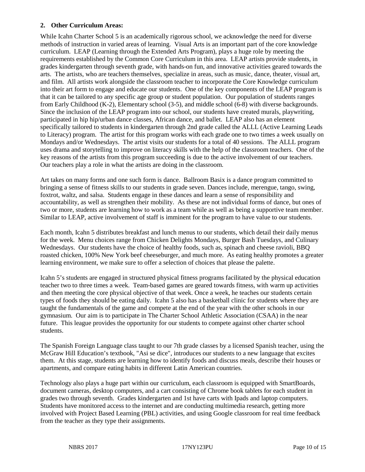#### **2. Other Curriculum Areas:**

While Icahn Charter School 5 is an academically rigorous school, we acknowledge the need for diverse methods of instruction in varied areas of learning. Visual Arts is an important part of the core knowledge curriculum. LEAP (Learning through the Extended Arts Program), plays a huge role by meeting the requirements established by the Common Core Curriculum in this area. LEAP artists provide students, in grades kindergarten through seventh grade, with hands-on fun, and innovative activities geared towards the arts. The artists, who are teachers themselves, specialize in areas, such as music, dance, theater, visual art, and film. All artists work alongside the classroom teacher to incorporate the Core Knowledge curriculum into their art form to engage and educate our students. One of the key components of the LEAP program is that it can be tailored to any specific age group or student population. Our population of students ranges from Early Childhood (K-2), Elementary school (3-5), and middle school (6-8) with diverse backgrounds. Since the inclusion of the LEAP program into our school, our students have created murals, playwriting, participated in hip hip/urban dance classes, African dance, and ballet. LEAP also has an element specifically tailored to students in kindergarten through 2nd grade called the ALLL (Active Learning Leads to Literacy) program. The artist for this program works with each grade one to two times a week usually on Mondays and/or Wednesdays. The artist visits our students for a total of 40 sessions. The ALLL program uses drama and storytelling to improve on literacy skills with the help of the classroom teachers. One of the key reasons of the artists from this program succeeding is due to the active involvement of our teachers. Our teachers play a role in what the artists are doing in the classroom.

Art takes on many forms and one such form is dance. Ballroom Basix is a dance program committed to bringing a sense of fitness skills to our students in grade seven. Dances include, merengue, tango, swing, foxtrot, waltz, and salsa. Students engage in these dances and learn a sense of responsibility and accountability, as well as strengthen their mobility. As these are not individual forms of dance, but ones of two or more, students are learning how to work as a team while as well as being a supportive team member. Similar to LEAP, active involvement of staff is imminent for the program to have value to our students.

Each month, Icahn 5 distributes breakfast and lunch menus to our students, which detail their daily menus for the week. Menu choices range from Chicken Delights Mondays, Burger Bash Tuesdays, and Culinary Wednesdays. Our students have the choice of healthy foods, such as, spinach and cheese ravioli, BBQ roasted chicken, 100% New York beef cheeseburger, and much more. As eating healthy promotes a greater learning environment, we make sure to offer a selection of choices that please the palette.

Icahn 5's students are engaged in structured physical fitness programs facilitated by the physical education teacher two to three times a week. Team-based games are geared towards fitness, with warm up activities and then meeting the core physical objective of that week. Once a week, he teaches our students certain types of foods they should be eating daily. Icahn 5 also has a basketball clinic for students where they are taught the fundamentals of the game and compete at the end of the year with the other schools in our gymnasium. Our aim is to participate in The Charter School Athletic Association (CSAA) in the near future. This league provides the opportunity for our students to compete against other charter school students.

The Spanish Foreign Language class taught to our 7th grade classes by a licensed Spanish teacher, using the McGraw Hill Education's textbook, "Asi se dice", introduces our students to a new language that excites them. At this stage, students are learning how to identify foods and discuss meals, describe their houses or apartments, and compare eating habits in different Latin American countries.

Technology also plays a huge part within our curriculum, each classroom is equipped with SmartBoards, document cameras, desktop computers, and a cart consisting of Chrome book tablets for each student in grades two through seventh. Grades kindergarten and 1st have carts with Ipads and laptop computers. Students have monitored access to the internet and are conducting multimedia research, getting more involved with Project Based Learning (PBL) activities, and using Google classroom for real time feedback from the teacher as they type their assignments.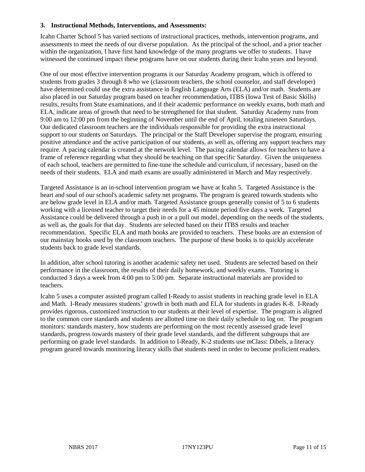#### **3. Instructional Methods, Interventions, and Assessments:**

Icahn Charter School 5 has varied sections of instructional practices, methods, intervention programs, and assessments to meet the needs of our diverse population. As the principal of the school, and a prior teacher within the organization, I have first hand knowledge of the many programs we offer to students. I have witnessed the continued impact these programs have on our students during their Icahn years and beyond.

One of our most effective intervention programs is our Saturday Academy program, which is offered to students from grades 3 through 8 who we (classroom teachers, the school counselor, and staff developer) have determined could use the extra assistance in English Language Arts (ELA) and/or math. Students are also placed in our Saturday program based on teacher recommendation, ITBS (Iowa Test of Basic Skills) results, results from State examinations, and if their academic performance on weekly exams, both math and ELA, indicate areas of growth that need to be strengthened for that student. Saturday Academy runs from 9:00 am to 12:00 pm from the beginning of November until the end of April, totaling nineteen Saturdays. Our dedicated classroom teachers are the individuals responsible for providing the extra instructional support to our students on Saturdays. The principal or the Staff Developer supervise the program, ensuring positive attendance and the active participation of our students, as well as, offering any support teachers may require. A pacing calendar is created at the network level. The pacing calendar allows for teachers to have a frame of reference regarding what they should be teaching on that specific Saturday. Given the uniqueness of each school, teachers are permitted to fine-tune the schedule and curriculum, if necessary, based on the needs of their students. ELA and math exams are usually administered in March and May respectively.

Targeted Assistance is an in-school intervention program we have at Icahn 5. Targeted Assistance is the heart and soul of our school's academic safety net programs. The program is geared towards students who are below grade level in ELA and/or math. Targeted Assistance groups generally consist of 5 to 6 students working with a licensed teacher to target their needs for a 45 minute period five days a week. Targeted Assistance could be delivered through a push in or a pull out model, depending on the needs of the students, as well as, the goals for that day. Students are selected based on their ITBS results and teacher recommendation. Specific ELA and math books are provided to teachers. These books are an extension of our mainstay books used by the classroom teachers. The purpose of these books is to quickly accelerate students back to grade level standards.

In addition, after school tutoring is another academic safety net used. Students are selected based on their performance in the classroom, the results of their daily homework, and weekly exams. Tutoring is conducted 3 days a week from 4:00 pm to 5:00 pm. Separate instructional materials are provided to teachers.

Icahn 5 uses a computer assisted program called I-Ready to assist students in reaching grade level in ELA and Math. I-Ready measures students' growth in both math and ELA for students in grades K-8. I-Ready provides rigorous, customized instruction to our students at their level of expertise. The program is aligned to the common core standards and students are allotted time on their daily schedule to log on. The program monitors: standards mastery, how students are performing on the most recently assessed grade level standards, progress towards mastery of their grade level standards, and the different subgroups that are performing on grade level standards. In addition to I-Ready, K-2 students use mClass: Dibels, a literacy program geared towards monitoring literacy skills that students need in order to become proficient readers.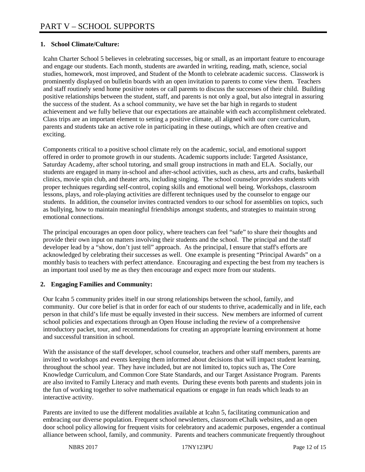### **1. School Climate/Culture:**

Icahn Charter School 5 believes in celebrating successes, big or small, as an important feature to encourage and engage our students. Each month, students are awarded in writing, reading, math, science, social studies, homework, most improved, and Student of the Month to celebrate academic success. Classwork is prominently displayed on bulletin boards with an open invitation to parents to come view them. Teachers and staff routinely send home positive notes or call parents to discuss the successes of their child. Building positive relationships between the student, staff, and parents is not only a goal, but also integral in assuring the success of the student. As a school community, we have set the bar high in regards to student achievement and we fully believe that our expectations are attainable with each accomplishment celebrated. Class trips are an important element to setting a positive climate, all aligned with our core curriculum, parents and students take an active role in participating in these outings, which are often creative and exciting.

Components critical to a positive school climate rely on the academic, social, and emotional support offered in order to promote growth in our students. Academic supports include: Targeted Assistance, Saturday Academy, after school tutoring, and small group instructions in math and ELA. Socially, our students are engaged in many in-school and after-school activities, such as chess, arts and crafts, basketball clinics, movie spin club, and theater arts, including singing. The school counselor provides students with proper techniques regarding self-control, coping skills and emotional well being. Workshops, classroom lessons, plays, and role-playing activities are different techniques used by the counselor to engage our students. In addition, the counselor invites contracted vendors to our school for assemblies on topics, such as bullying, how to maintain meaningful friendships amongst students, and strategies to maintain strong emotional connections.

The principal encourages an open door policy, where teachers can feel "safe" to share their thoughts and provide their own input on matters involving their students and the school. The principal and the staff developer lead by a "show, don't just tell" approach. As the principal, I ensure that staff's efforts are acknowledged by celebrating their successes as well. One example is presenting "Principal Awards" on a monthly basis to teachers with perfect attendance. Encouraging and expecting the best from my teachers is an important tool used by me as they then encourage and expect more from our students.

### **2. Engaging Families and Community:**

Our Icahn 5 community prides itself in our strong relationships between the school, family, and community. Our core belief is that in order for each of our students to thrive, academically and in life, each person in that child's life must be equally invested in their success. New members are informed of current school policies and expectations through an Open House including the review of a comprehensive introductory packet, tour, and recommendations for creating an appropriate learning environment at home and successful transition in school.

With the assistance of the staff developer, school counselor, teachers and other staff members, parents are invited to workshops and events keeping them informed about decisions that will impact student learning, throughout the school year. They have included, but are not limited to, topics such as, The Core Knowledge Curriculum, and Common Core State Standards, and our Target Assistance Program. Parents are also invited to Family Literacy and math events. During these events both parents and students join in the fun of working together to solve mathematical equations or engage in fun reads which leads to an interactive activity.

Parents are invited to use the different modalities available at Icahn 5, facilitating communication and embracing our diverse population. Frequent school newsletters, classroom eChalk websites, and an open door school policy allowing for frequent visits for celebratory and academic purposes, engender a continual alliance between school, family, and community. Parents and teachers communicate frequently throughout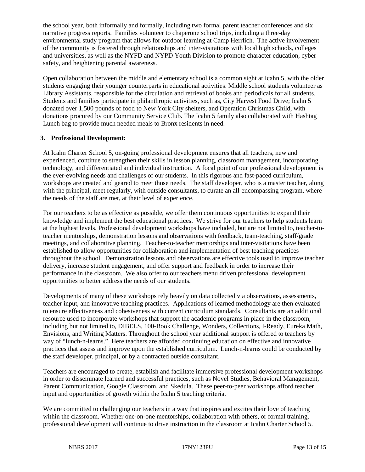the school year, both informally and formally, including two formal parent teacher conferences and six narrative progress reports. Families volunteer to chaperone school trips, including a three-day environmental study program that allows for outdoor learning at Camp Herrlich. The active involvement of the community is fostered through relationships and inter-visitations with local high schools, colleges and universities, as well as the NYFD and NYPD Youth Division to promote character education, cyber safety, and heightening parental awareness.

Open collaboration between the middle and elementary school is a common sight at Icahn 5, with the older students engaging their younger counterparts in educational activities. Middle school students volunteer as Library Assistants, responsible for the circulation and retrieval of books and periodicals for all students. Students and families participate in philanthropic activities, such as, City Harvest Food Drive; Icahn 5 donated over 1,500 pounds of food to New York City shelters, and Operation Christmas Child, with donations procured by our Community Service Club. The Icahn 5 family also collaborated with Hashtag Lunch bag to provide much needed meals to Bronx residents in need.

#### **3. Professional Development:**

At Icahn Charter School 5, on-going professional development ensures that all teachers, new and experienced, continue to strengthen their skills in lesson planning, classroom management, incorporating technology, and differentiated and individual instruction. A focal point of our professional development is the ever-evolving needs and challenges of our students. In this rigorous and fast-paced curriculum, workshops are created and geared to meet those needs. The staff developer, who is a master teacher, along with the principal, meet regularly, with outside consultants, to curate an all-encompassing program, where the needs of the staff are met, at their level of experience.

For our teachers to be as effective as possible, we offer them continuous opportunities to expand their knowledge and implement the best educational practices. We strive for our teachers to help students learn at the highest levels. Professional development workshops have included, but are not limited to, teacher-toteacher mentorships, demonstration lessons and observations with feedback, team-teaching, staff/grade meetings, and collaborative planning. Teacher-to-teacher mentorships and inter-visitations have been established to allow opportunities for collaboration and implementation of best teaching practices throughout the school. Demonstration lessons and observations are effective tools used to improve teacher delivery, increase student engagement, and offer support and feedback in order to increase their performance in the classroom. We also offer to our teachers menu driven professional development opportunities to better address the needs of our students.

Developments of many of these workshops rely heavily on data collected via observations, assessments, teacher input, and innovative teaching practices. Applications of learned methodology are then evaluated to ensure effectiveness and cohesiveness with current curriculum standards. Consultants are an additional resource used to incorporate workshops that support the academic programs in place in the classroom, including but not limited to, DIBELS, 100-Book Challenge, Wonders, Collections, I-Ready, Eureka Math, Envisions, and Writing Matters. Throughout the school year additional support is offered to teachers by way of "lunch-n-learns." Here teachers are afforded continuing education on effective and innovative practices that assess and improve upon the established curriculum. Lunch-n-learns could be conducted by the staff developer, principal, or by a contracted outside consultant.

Teachers are encouraged to create, establish and facilitate immersive professional development workshops in order to disseminate learned and successful practices, such as Novel Studies, Behavioral Management, Parent Communication, Google Classroom, and Skedula. These peer-to-peer workshops afford teacher input and opportunities of growth within the Icahn 5 teaching criteria.

We are committed to challenging our teachers in a way that inspires and excites their love of teaching within the classroom. Whether one-on-one mentorships, collaboration with others, or formal training, professional development will continue to drive instruction in the classroom at Icahn Charter School 5.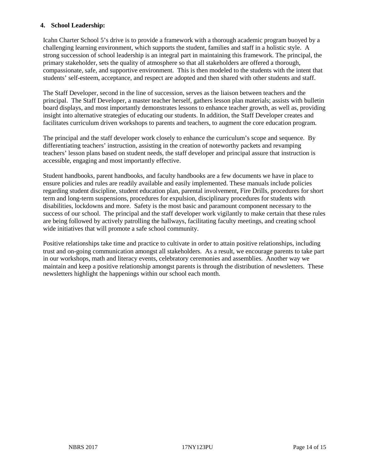#### **4. School Leadership:**

Icahn Charter School 5's drive is to provide a framework with a thorough academic program buoyed by a challenging learning environment, which supports the student, families and staff in a holistic style. A strong succession of school leadership is an integral part in maintaining this framework. The principal, the primary stakeholder, sets the quality of atmosphere so that all stakeholders are offered a thorough, compassionate, safe, and supportive environment. This is then modeled to the students with the intent that students' self-esteem, acceptance, and respect are adopted and then shared with other students and staff.

The Staff Developer, second in the line of succession, serves as the liaison between teachers and the principal. The Staff Developer, a master teacher herself, gathers lesson plan materials; assists with bulletin board displays, and most importantly demonstrates lessons to enhance teacher growth, as well as, providing insight into alternative strategies of educating our students. In addition, the Staff Developer creates and facilitates curriculum driven workshops to parents and teachers, to augment the core education program.

The principal and the staff developer work closely to enhance the curriculum's scope and sequence. By differentiating teachers' instruction, assisting in the creation of noteworthy packets and revamping teachers' lesson plans based on student needs, the staff developer and principal assure that instruction is accessible, engaging and most importantly effective.

Student handbooks, parent handbooks, and faculty handbooks are a few documents we have in place to ensure policies and rules are readily available and easily implemented. These manuals include policies regarding student discipline, student education plan, parental involvement, Fire Drills, procedures for short term and long-term suspensions, procedures for expulsion, disciplinary procedures for students with disabilities, lockdowns and more. Safety is the most basic and paramount component necessary to the success of our school. The principal and the staff developer work vigilantly to make certain that these rules are being followed by actively patrolling the hallways, facilitating faculty meetings, and creating school wide initiatives that will promote a safe school community.

Positive relationships take time and practice to cultivate in order to attain positive relationships, including trust and on-going communication amongst all stakeholders. As a result, we encourage parents to take part in our workshops, math and literacy events, celebratory ceremonies and assemblies. Another way we maintain and keep a positive relationship amongst parents is through the distribution of newsletters. These newsletters highlight the happenings within our school each month.